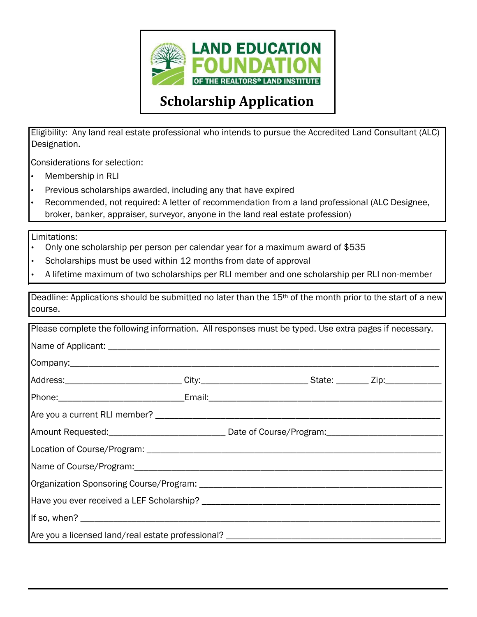

## **Scholarship Application**

Eligibility: Any land real estate professional who intends to pursue the Accredited Land Consultant (ALC) Designation.

Considerations for selection:

- Membership in RLI
- Previous scholarships awarded, including any that have expired
- Recommended, not required: A letter of recommendation from a land professional (ALC Designee, broker, banker, appraiser, surveyor, anyone in the land real estate profession)

Limitations:

- Only one scholarship per person per calendar year for a maximum award of \$535
- Scholarships must be used within 12 months from date of approval
- A lifetime maximum of two scholarships per RLI member and one scholarship per RLI non-member

Deadline: Applications should be submitted no later than the 15<sup>th</sup> of the month prior to the start of a new course.

| Please complete the following information. All responses must be typed. Use extra pages if necessary.     |  |  |  |
|-----------------------------------------------------------------------------------------------------------|--|--|--|
|                                                                                                           |  |  |  |
|                                                                                                           |  |  |  |
| Address: _____________________________City:____________________________State: _________Zip:______________ |  |  |  |
|                                                                                                           |  |  |  |
|                                                                                                           |  |  |  |
|                                                                                                           |  |  |  |
|                                                                                                           |  |  |  |
|                                                                                                           |  |  |  |
|                                                                                                           |  |  |  |
|                                                                                                           |  |  |  |
|                                                                                                           |  |  |  |
| Are you a licensed land/real estate professional? ____________                                            |  |  |  |